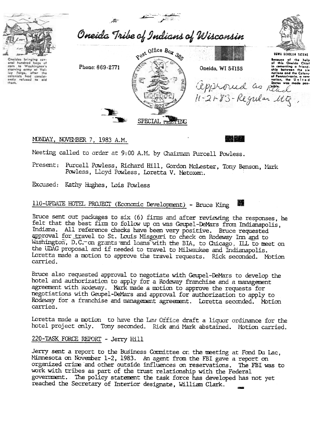

# MONDAY, NOVEMBER 7, 1983 A.M.

Meeting called to order at 9:00 A.M. by Chairman Purcell Powless.

Present: Purcell Powless, Richard Hill, Gordon McLester, Tony Benson, Mark Powless, Lloyd Powless, Loretta V. Metoxen.

Excused: Kathy Hughes, Lois Powless

#### 110-UPDATE HOTEL PROJECT (Economic Development) - Bruce King V.

Bruce sent out packages to six (6) firms and after reviewing the responses, he felt that the best firm to follow up on was Geupel-DeMars from Indianapolis, Indiana. All reference checks have been very positive. Bruce requested approval for travel to St. Louis Missouri to check on Rodeway Inn and to Washington, D.C. on grants and loans with the BIA, to Chicago, ILL to meet on the UDAG proposal and if needed to travel to Milwaukee and Indianapolis. Loretta made a motion to approve the travel requests. Rick seconded. Motion carried.

Bruce also requested approval to negotiate with Geupel-DeMars to develop the hotel and authorization to apply for a Rodeway franchise and a management agreement with Rodeway. Mark made a motion to approve the requests for negotiations with Geupel-DeMars and approval for authorization to apply to Rodeway for a franchise and management agreement. Loretta seconded. Motion carried.

Loretta made a motion to have the Law Office draft a liquor ordinance for the hotel project only. Tony seconded. Rick and Mark abstained. Motion carried.

#### 220-TASK FORCE REPORT - Jerry Hill

Jerry sent a report to the Business Committee on the meeting at Fond Du Lac, Mirmesota on November 1-2, 1983. An agent from the FBI gave a report on organized crime and other outside influences on reservations. The FBI was to work with tribes as part of the trust relationship with the Federal government. The policy statement the task force has developed has not yet reached the Secretary of Interior designate, William Clark.